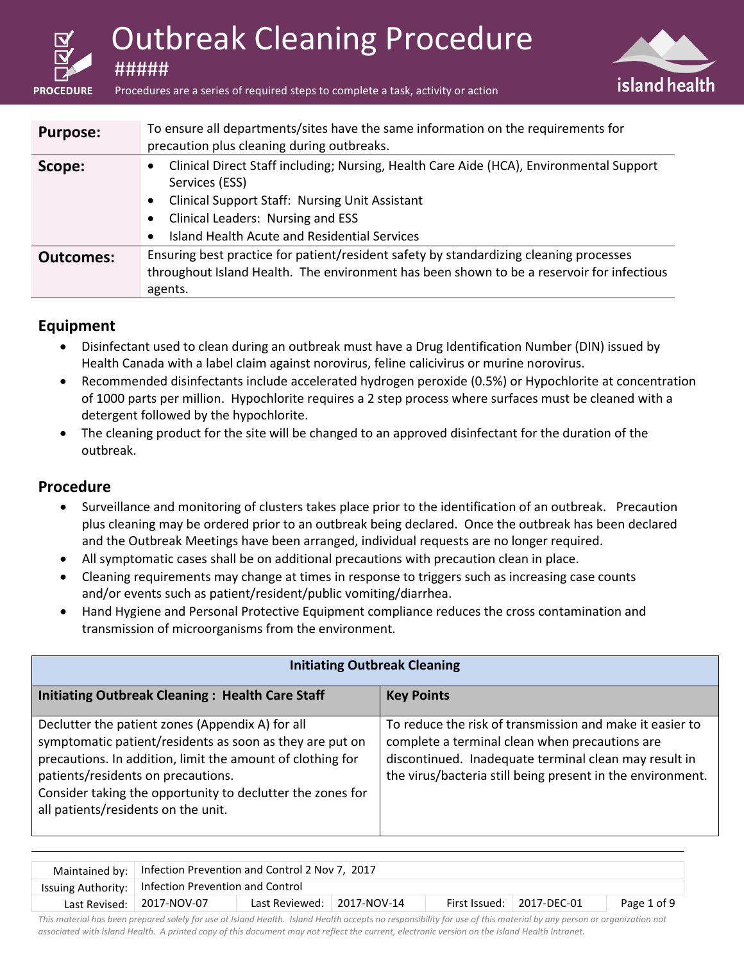| <b>PROCEDURE</b> | <b>Outbreak Cleaning Procedure</b><br>island health<br>Procedures are a series of required steps to complete a task, activity or action |                                                                                                                                                                                                                                                         |  |  |
|------------------|-----------------------------------------------------------------------------------------------------------------------------------------|---------------------------------------------------------------------------------------------------------------------------------------------------------------------------------------------------------------------------------------------------------|--|--|
| <b>Purpose:</b>  |                                                                                                                                         | To ensure all departments/sites have the same information on the requirements for<br>precaution plus cleaning during outbreaks.                                                                                                                         |  |  |
| Scope:           |                                                                                                                                         | Clinical Direct Staff including; Nursing, Health Care Aide (HCA), Environmental Support<br>Services (ESS)<br><b>Clinical Support Staff: Nursing Unit Assistant</b><br>Clinical Leaders: Nursing and ESS<br>Island Health Acute and Residential Services |  |  |
| <b>Outcomes:</b> |                                                                                                                                         | Ensuring best practice for patient/resident safety by standardizing cleaning processes<br>throughout Island Health. The environment has been shown to be a reservoir for infectious<br>agents.                                                          |  |  |

#### **Equipment**

- Disinfectant used to clean during an outbreak must have a Drug Identification Number (DIN) issued by Health Canada with a label claim against norovirus, feline calicivirus or murine norovirus.
- Recommended disinfectants include accelerated hydrogen peroxide (0.5%) or Hypochlorite at concentration of 1000 parts per million. Hypochlorite requires a 2 step process where surfaces must be cleaned with a detergent followed by the hypochlorite.
- The cleaning product for the site will be changed to an approved disinfectant for the duration of the outbreak.

#### **Procedure**

- Surveillance and monitoring of clusters takes place prior to the identification of an outbreak. Precaution plus cleaning may be ordered prior to an outbreak being declared. Once the outbreak has been declared and the Outbreak Meetings have been arranged, individual requests are no longer required.
- All symptomatic cases shall be on additional precautions with precaution clean in place.
- Cleaning requirements may change at times in response to triggers such as increasing case counts and/or events such as patient/resident/public vomiting/diarrhea.
- Hand Hygiene and Personal Protective Equipment compliance reduces the cross contamination and transmission of microorganisms from the environment.

| <b>Initiating Outbreak Cleaning</b>                                                                                                                                                                                                                                                                                   |                                                                                                                                                                                                                                   |  |  |  |
|-----------------------------------------------------------------------------------------------------------------------------------------------------------------------------------------------------------------------------------------------------------------------------------------------------------------------|-----------------------------------------------------------------------------------------------------------------------------------------------------------------------------------------------------------------------------------|--|--|--|
| <b>Initiating Outbreak Cleaning: Health Care Staff</b>                                                                                                                                                                                                                                                                | <b>Key Points</b>                                                                                                                                                                                                                 |  |  |  |
| Declutter the patient zones (Appendix A) for all<br>symptomatic patient/residents as soon as they are put on<br>precautions. In addition, limit the amount of clothing for<br>patients/residents on precautions.<br>Consider taking the opportunity to declutter the zones for<br>all patients/residents on the unit. | To reduce the risk of transmission and make it easier to<br>complete a terminal clean when precautions are<br>discontinued. Inadequate terminal clean may result in<br>the virus/bacteria still being present in the environment. |  |  |  |

| Maintained by:   Infection Prevention and Control 2 Nov 7, 2017 |                            |  |  |                                   |             |
|-----------------------------------------------------------------|----------------------------|--|--|-----------------------------------|-------------|
| Issuing Authority:   Infection Prevention and Control           |                            |  |  |                                   |             |
| Last Revised: 2017-NOV-07                                       | Last Reviewed: 2017-NOV-14 |  |  | First Issued: $\vert$ 2017-DEC-01 | Page 1 of 9 |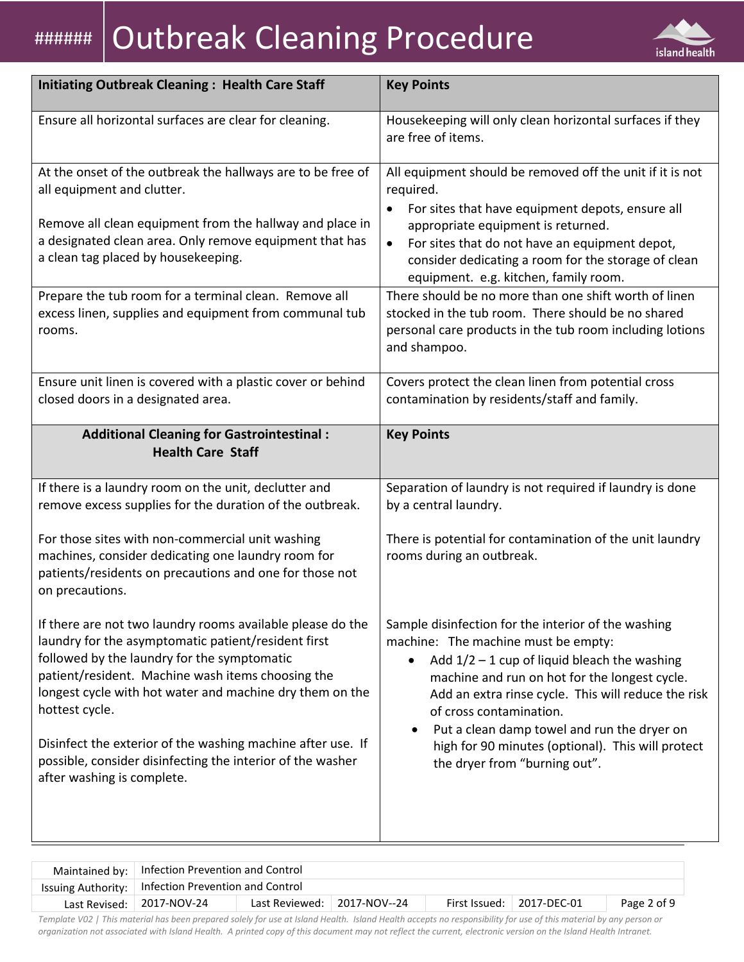# |####### | Outbreak Cleaning Procedure



| <b>Initiating Outbreak Cleaning: Health Care Staff</b>                                                                                                                                                                                                                                                                                                             | <b>Key Points</b>                                                                                                                                                                                                                                                                                                                                                                                |
|--------------------------------------------------------------------------------------------------------------------------------------------------------------------------------------------------------------------------------------------------------------------------------------------------------------------------------------------------------------------|--------------------------------------------------------------------------------------------------------------------------------------------------------------------------------------------------------------------------------------------------------------------------------------------------------------------------------------------------------------------------------------------------|
| Ensure all horizontal surfaces are clear for cleaning.                                                                                                                                                                                                                                                                                                             | Housekeeping will only clean horizontal surfaces if they<br>are free of items.                                                                                                                                                                                                                                                                                                                   |
| At the onset of the outbreak the hallways are to be free of<br>all equipment and clutter.                                                                                                                                                                                                                                                                          | All equipment should be removed off the unit if it is not<br>required.<br>For sites that have equipment depots, ensure all<br>$\bullet$                                                                                                                                                                                                                                                          |
| Remove all clean equipment from the hallway and place in<br>a designated clean area. Only remove equipment that has<br>a clean tag placed by housekeeping.                                                                                                                                                                                                         | appropriate equipment is returned.<br>For sites that do not have an equipment depot,<br>$\bullet$<br>consider dedicating a room for the storage of clean<br>equipment. e.g. kitchen, family room.                                                                                                                                                                                                |
| Prepare the tub room for a terminal clean. Remove all<br>excess linen, supplies and equipment from communal tub<br>rooms.                                                                                                                                                                                                                                          | There should be no more than one shift worth of linen<br>stocked in the tub room. There should be no shared<br>personal care products in the tub room including lotions<br>and shampoo.                                                                                                                                                                                                          |
| Ensure unit linen is covered with a plastic cover or behind<br>closed doors in a designated area.                                                                                                                                                                                                                                                                  | Covers protect the clean linen from potential cross<br>contamination by residents/staff and family.                                                                                                                                                                                                                                                                                              |
| <b>Additional Cleaning for Gastrointestinal:</b><br><b>Health Care Staff</b>                                                                                                                                                                                                                                                                                       | <b>Key Points</b>                                                                                                                                                                                                                                                                                                                                                                                |
| If there is a laundry room on the unit, declutter and<br>remove excess supplies for the duration of the outbreak.                                                                                                                                                                                                                                                  | Separation of laundry is not required if laundry is done<br>by a central laundry.                                                                                                                                                                                                                                                                                                                |
| For those sites with non-commercial unit washing<br>machines, consider dedicating one laundry room for<br>patients/residents on precautions and one for those not<br>on precautions.                                                                                                                                                                               | There is potential for contamination of the unit laundry<br>rooms during an outbreak.                                                                                                                                                                                                                                                                                                            |
| If there are not two laundry rooms available please do the<br>laundry for the asymptomatic patient/resident first<br>followed by the laundry for the symptomatic<br>patient/resident. Machine wash items choosing the<br>longest cycle with hot water and machine dry them on the<br>hottest cycle.<br>Disinfect the exterior of the washing machine after use. If | Sample disinfection for the interior of the washing<br>machine: The machine must be empty:<br>Add $1/2 - 1$ cup of liquid bleach the washing<br>$\bullet$<br>machine and run on hot for the longest cycle.<br>Add an extra rinse cycle. This will reduce the risk<br>of cross contamination.<br>Put a clean damp towel and run the dryer on<br>high for 90 minutes (optional). This will protect |
| possible, consider disinfecting the interior of the washer<br>after washing is complete.                                                                                                                                                                                                                                                                           | the dryer from "burning out".                                                                                                                                                                                                                                                                                                                                                                    |

| Maintained by:   Infection Prevention and Control     |                                     |  |  |                                   |             |
|-------------------------------------------------------|-------------------------------------|--|--|-----------------------------------|-------------|
| Issuing Authority:   Infection Prevention and Control |                                     |  |  |                                   |             |
| Last Revised: 2017-NOV-24                             | Last Reviewed: $\vert$ 2017-NOV--24 |  |  | First Issued: $\vert$ 2017-DEC-01 | Page 2 of 9 |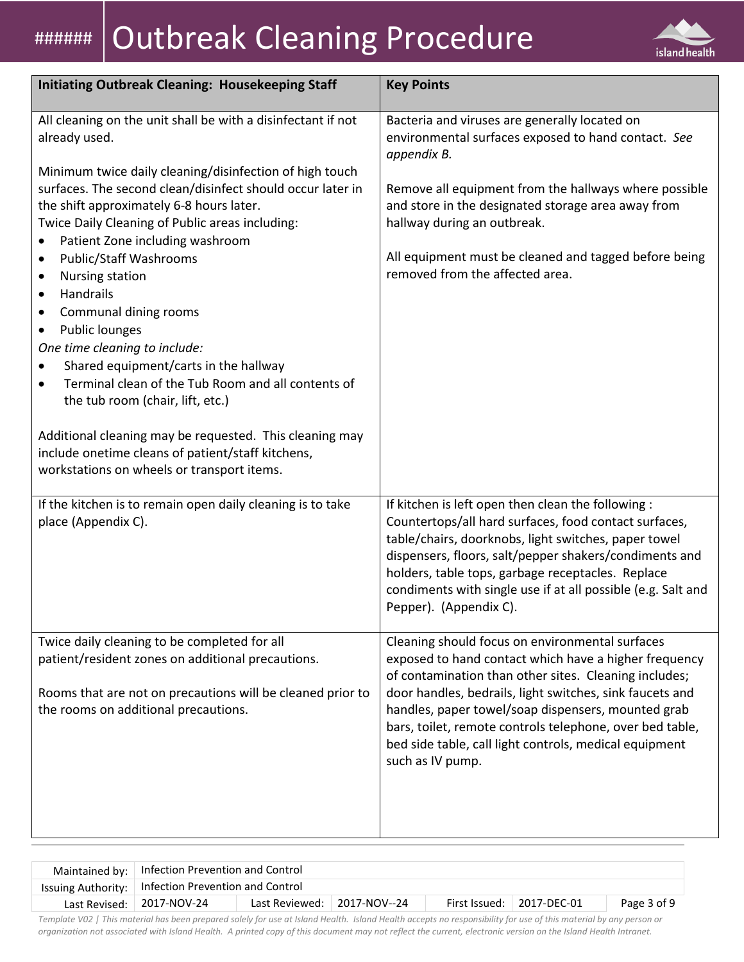# **####### Outbreak Cleaning Procedure**



| <b>Initiating Outbreak Cleaning: Housekeeping Staff</b>                                                                                                                                                                                                                                                                                                                                                                                                                                                                                                                                                                                                                                                                               | <b>Key Points</b>                                                                                                                                                                                                                                                                                                                                                                                                             |
|---------------------------------------------------------------------------------------------------------------------------------------------------------------------------------------------------------------------------------------------------------------------------------------------------------------------------------------------------------------------------------------------------------------------------------------------------------------------------------------------------------------------------------------------------------------------------------------------------------------------------------------------------------------------------------------------------------------------------------------|-------------------------------------------------------------------------------------------------------------------------------------------------------------------------------------------------------------------------------------------------------------------------------------------------------------------------------------------------------------------------------------------------------------------------------|
| All cleaning on the unit shall be with a disinfectant if not<br>already used.                                                                                                                                                                                                                                                                                                                                                                                                                                                                                                                                                                                                                                                         | Bacteria and viruses are generally located on<br>environmental surfaces exposed to hand contact. See<br>appendix B.                                                                                                                                                                                                                                                                                                           |
| Minimum twice daily cleaning/disinfection of high touch<br>surfaces. The second clean/disinfect should occur later in<br>the shift approximately 6-8 hours later.<br>Twice Daily Cleaning of Public areas including:<br>Patient Zone including washroom<br>Public/Staff Washrooms<br>$\bullet$<br><b>Nursing station</b><br>$\bullet$<br>Handrails<br>$\bullet$<br>Communal dining rooms<br>$\bullet$<br>Public lounges<br>$\bullet$<br>One time cleaning to include:<br>Shared equipment/carts in the hallway<br>Terminal clean of the Tub Room and all contents of<br>$\bullet$<br>the tub room (chair, lift, etc.)<br>Additional cleaning may be requested. This cleaning may<br>include onetime cleans of patient/staff kitchens, | Remove all equipment from the hallways where possible<br>and store in the designated storage area away from<br>hallway during an outbreak.<br>All equipment must be cleaned and tagged before being<br>removed from the affected area.                                                                                                                                                                                        |
| workstations on wheels or transport items.                                                                                                                                                                                                                                                                                                                                                                                                                                                                                                                                                                                                                                                                                            |                                                                                                                                                                                                                                                                                                                                                                                                                               |
| If the kitchen is to remain open daily cleaning is to take<br>place (Appendix C).                                                                                                                                                                                                                                                                                                                                                                                                                                                                                                                                                                                                                                                     | If kitchen is left open then clean the following :<br>Countertops/all hard surfaces, food contact surfaces,<br>table/chairs, doorknobs, light switches, paper towel<br>dispensers, floors, salt/pepper shakers/condiments and<br>holders, table tops, garbage receptacles. Replace<br>condiments with single use if at all possible (e.g. Salt and<br>Pepper). (Appendix C).                                                  |
| Twice daily cleaning to be completed for all<br>patient/resident zones on additional precautions.<br>Rooms that are not on precautions will be cleaned prior to<br>the rooms on additional precautions.                                                                                                                                                                                                                                                                                                                                                                                                                                                                                                                               | Cleaning should focus on environmental surfaces<br>exposed to hand contact which have a higher frequency<br>of contamination than other sites. Cleaning includes;<br>door handles, bedrails, light switches, sink faucets and<br>handles, paper towel/soap dispensers, mounted grab<br>bars, toilet, remote controls telephone, over bed table,<br>bed side table, call light controls, medical equipment<br>such as IV pump. |

| Maintained by:   Infection Prevention and Control     |                             |  |                                   |             |
|-------------------------------------------------------|-----------------------------|--|-----------------------------------|-------------|
| Issuing Authority:   Infection Prevention and Control |                             |  |                                   |             |
| Last Revised:   2017-NOV-24                           | Last Reviewed: 2017-NOV--24 |  | First Issued: $\vert$ 2017-DEC-01 | Page 3 of 9 |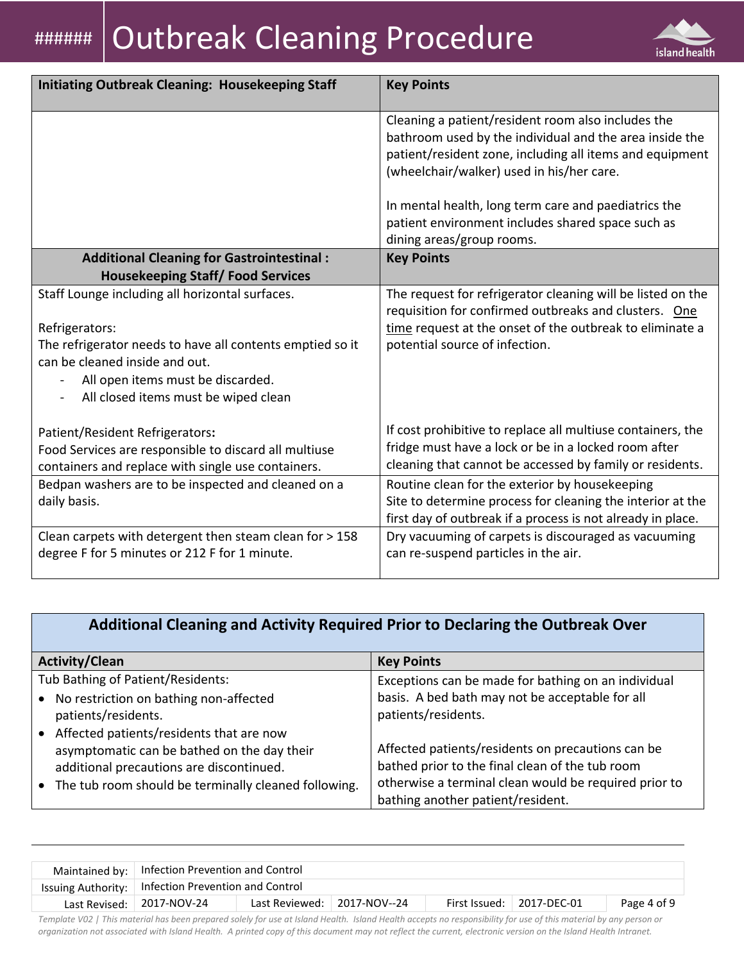

| <b>Initiating Outbreak Cleaning: Housekeeping Staff</b>                                                     | <b>Key Points</b>                                                                                                                                                                                                      |
|-------------------------------------------------------------------------------------------------------------|------------------------------------------------------------------------------------------------------------------------------------------------------------------------------------------------------------------------|
|                                                                                                             | Cleaning a patient/resident room also includes the<br>bathroom used by the individual and the area inside the<br>patient/resident zone, including all items and equipment<br>(wheelchair/walker) used in his/her care. |
|                                                                                                             | In mental health, long term care and paediatrics the<br>patient environment includes shared space such as<br>dining areas/group rooms.                                                                                 |
| <b>Additional Cleaning for Gastrointestinal:</b>                                                            | <b>Key Points</b>                                                                                                                                                                                                      |
| <b>Housekeeping Staff/Food Services</b>                                                                     |                                                                                                                                                                                                                        |
| Staff Lounge including all horizontal surfaces.                                                             | The request for refrigerator cleaning will be listed on the<br>requisition for confirmed outbreaks and clusters. One                                                                                                   |
| Refrigerators:                                                                                              | time request at the onset of the outbreak to eliminate a                                                                                                                                                               |
| The refrigerator needs to have all contents emptied so it<br>can be cleaned inside and out.                 | potential source of infection.                                                                                                                                                                                         |
| All open items must be discarded.<br>All closed items must be wiped clean                                   |                                                                                                                                                                                                                        |
| Patient/Resident Refrigerators:                                                                             | If cost prohibitive to replace all multiuse containers, the                                                                                                                                                            |
| Food Services are responsible to discard all multiuse<br>containers and replace with single use containers. | fridge must have a lock or be in a locked room after<br>cleaning that cannot be accessed by family or residents.                                                                                                       |
| Bedpan washers are to be inspected and cleaned on a                                                         | Routine clean for the exterior by housekeeping                                                                                                                                                                         |
| daily basis.                                                                                                | Site to determine process for cleaning the interior at the<br>first day of outbreak if a process is not already in place.                                                                                              |
| Clean carpets with detergent then steam clean for > 158                                                     | Dry vacuuming of carpets is discouraged as vacuuming                                                                                                                                                                   |
| degree F for 5 minutes or 212 F for 1 minute.                                                               | can re-suspend particles in the air.                                                                                                                                                                                   |

## **Additional Cleaning and Activity Required Prior to Declaring the Outbreak Over**

| <b>Activity/Clean</b>                                | <b>Key Points</b>                                     |
|------------------------------------------------------|-------------------------------------------------------|
| Tub Bathing of Patient/Residents:                    | Exceptions can be made for bathing on an individual   |
| • No restriction on bathing non-affected             | basis. A bed bath may not be acceptable for all       |
| patients/residents.                                  | patients/residents.                                   |
| Affected patients/residents that are now             |                                                       |
| asymptomatic can be bathed on the day their          | Affected patients/residents on precautions can be     |
| additional precautions are discontinued.             | bathed prior to the final clean of the tub room       |
| The tub room should be terminally cleaned following. | otherwise a terminal clean would be required prior to |
|                                                      | bathing another patient/resident.                     |

| Maintained by:   Infection Prevention and Control     |                |              |                                   |             |
|-------------------------------------------------------|----------------|--------------|-----------------------------------|-------------|
| Issuing Authority:   Infection Prevention and Control |                |              |                                   |             |
| Last Revised:   2017-NOV-24                           | Last Reviewed: | 2017-NOV--24 | First Issued: $\vert$ 2017-DEC-01 | Page 4 of 9 |
|                                                       |                | .            |                                   |             |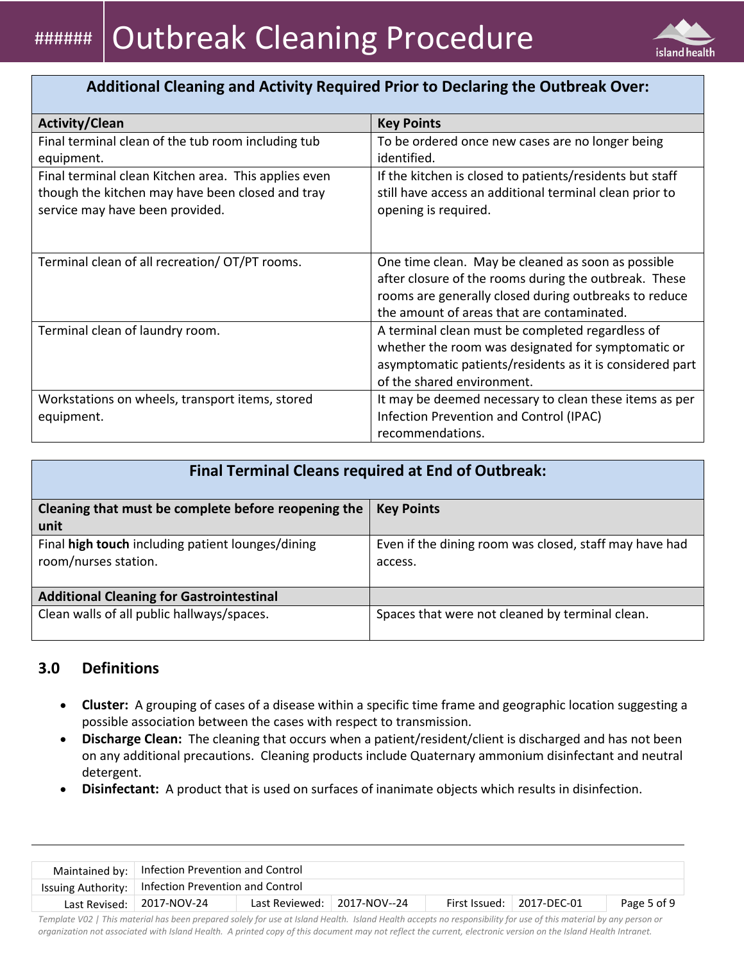

## **Additional Cleaning and Activity Required Prior to Declaring the Outbreak Over:**

| <b>Activity/Clean</b>                                                                                                                       | <b>Key Points</b>                                                                                                                                                                                                  |
|---------------------------------------------------------------------------------------------------------------------------------------------|--------------------------------------------------------------------------------------------------------------------------------------------------------------------------------------------------------------------|
| Final terminal clean of the tub room including tub<br>equipment.                                                                            | To be ordered once new cases are no longer being<br>identified.                                                                                                                                                    |
| Final terminal clean Kitchen area. This applies even<br>though the kitchen may have been closed and tray<br>service may have been provided. | If the kitchen is closed to patients/residents but staff<br>still have access an additional terminal clean prior to<br>opening is required.                                                                        |
| Terminal clean of all recreation/ OT/PT rooms.                                                                                              | One time clean. May be cleaned as soon as possible<br>after closure of the rooms during the outbreak. These<br>rooms are generally closed during outbreaks to reduce<br>the amount of areas that are contaminated. |
| Terminal clean of laundry room.                                                                                                             | A terminal clean must be completed regardless of<br>whether the room was designated for symptomatic or<br>asymptomatic patients/residents as it is considered part<br>of the shared environment.                   |
| Workstations on wheels, transport items, stored<br>equipment.                                                                               | It may be deemed necessary to clean these items as per<br>Infection Prevention and Control (IPAC)<br>recommendations.                                                                                              |

| <b>Final Terminal Cleans required at End of Outbreak:</b> |                                                        |  |  |  |
|-----------------------------------------------------------|--------------------------------------------------------|--|--|--|
| Cleaning that must be complete before reopening the       | <b>Key Points</b>                                      |  |  |  |
| unit                                                      |                                                        |  |  |  |
| Final high touch including patient lounges/dining         | Even if the dining room was closed, staff may have had |  |  |  |
| room/nurses station.                                      | access.                                                |  |  |  |
|                                                           |                                                        |  |  |  |
| <b>Additional Cleaning for Gastrointestinal</b>           |                                                        |  |  |  |
| Clean walls of all public hallways/spaces.                | Spaces that were not cleaned by terminal clean.        |  |  |  |
|                                                           |                                                        |  |  |  |

#### **3.0 Definitions**

- **Cluster:** A grouping of cases of a disease within a specific time frame and geographic location suggesting a possible association between the cases with respect to transmission.
- **Discharge Clean:** The cleaning that occurs when a patient/resident/client is discharged and has not been on any additional precautions. Cleaning products include Quaternary ammonium disinfectant and neutral detergent.
- **Disinfectant:** A product that is used on surfaces of inanimate objects which results in disinfection.

| Maintained by:   Infection Prevention and Control                                                            |                                                       |  |  |  |  |  |
|--------------------------------------------------------------------------------------------------------------|-------------------------------------------------------|--|--|--|--|--|
|                                                                                                              | Issuing Authority:   Infection Prevention and Control |  |  |  |  |  |
| Last Reviewed: 2017-NOV--24<br>First Issued: $\vert$ 2017-DEC-01<br>Last Revised: 2017-NOV-24<br>Page 5 of 9 |                                                       |  |  |  |  |  |
|                                                                                                              |                                                       |  |  |  |  |  |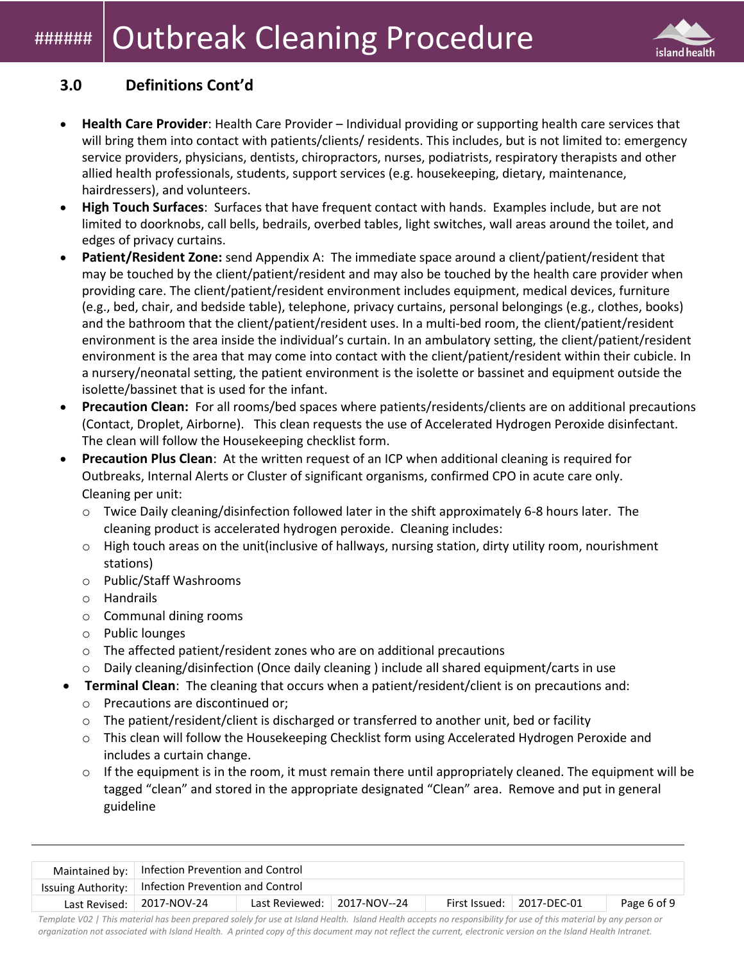# **Outbreak Cleaning Procedure**



#### **3.0 Definitions Cont'd**

- **Health Care Provider**: Health Care Provider Individual providing or supporting health care services that will bring them into contact with patients/clients/ residents. This includes, but is not limited to: emergency service providers, physicians, dentists, chiropractors, nurses, podiatrists, respiratory therapists and other allied health professionals, students, support services (e.g. housekeeping, dietary, maintenance, hairdressers), and volunteers.
- **High Touch Surfaces**: Surfaces that have frequent contact with hands. Examples include, but are not limited to doorknobs, call bells, bedrails, overbed tables, light switches, wall areas around the toilet, and edges of privacy curtains.
- **Patient/Resident Zone:** send Appendix A: The immediate space around a client/patient/resident that may be touched by the client/patient/resident and may also be touched by the health care provider when providing care. The client/patient/resident environment includes equipment, medical devices, furniture (e.g., bed, chair, and bedside table), telephone, privacy curtains, personal belongings (e.g., clothes, books) and the bathroom that the client/patient/resident uses. In a multi-bed room, the client/patient/resident environment is the area inside the individual's curtain. In an ambulatory setting, the client/patient/resident environment is the area that may come into contact with the client/patient/resident within their cubicle. In a nursery/neonatal setting, the patient environment is the isolette or bassinet and equipment outside the isolette/bassinet that is used for the infant.
- **Precaution Clean:** For all rooms/bed spaces where patients/residents/clients are on additional precautions (Contact, Droplet, Airborne). This clean requests the use of Accelerated Hydrogen Peroxide disinfectant. The clean will follow the Housekeeping checklist form.
- **Precaution Plus Clean**: At the written request of an ICP when additional cleaning is required for Outbreaks, Internal Alerts or Cluster of significant organisms, confirmed CPO in acute care only. Cleaning per unit:
	- o Twice Daily cleaning/disinfection followed later in the shift approximately 6-8 hours later. The cleaning product is accelerated hydrogen peroxide. Cleaning includes:
	- $\circ$  High touch areas on the unit (inclusive of hallways, nursing station, dirty utility room, nourishment stations)
	- o Public/Staff Washrooms
	- o Handrails
	- o Communal dining rooms
	- o Public lounges
	- $\circ$  The affected patient/resident zones who are on additional precautions
	- $\circ$  Daily cleaning/disinfection (Once daily cleaning) include all shared equipment/carts in use
- **Terminal Clean**: The cleaning that occurs when a patient/resident/client is on precautions and:
	- o Precautions are discontinued or;
	- o The patient/resident/client is discharged or transferred to another unit, bed or facility
	- o This clean will follow the Housekeeping [Checklist f](https://intranet.viha.ca/departments/infection_prevention/Documents/Quick%20Reference/housekeeping_checklist.pdf)orm using Accelerated Hydrogen Peroxide and includes a curtain change.
	- $\circ$  If the equipment is in the room, it must remain there until appropriately cleaned. The equipment will be tagged "clean" and stored in the appropriate designated "Clean" area. Remove and put in general guideline

| Maintained by:   Infection Prevention and Control                                                             |                                                       |  |  |                                                                                                                                                                                                                                  |  |  |
|---------------------------------------------------------------------------------------------------------------|-------------------------------------------------------|--|--|----------------------------------------------------------------------------------------------------------------------------------------------------------------------------------------------------------------------------------|--|--|
|                                                                                                               | Issuing Authority:   Infection Prevention and Control |  |  |                                                                                                                                                                                                                                  |  |  |
| Last Reviewed: $\vert$ 2017-NOV--24<br>First Issued: $\vert$ 2017-DEC-01<br>Last Revised: $\vert$ 2017-NOV-24 |                                                       |  |  |                                                                                                                                                                                                                                  |  |  |
|                                                                                                               |                                                       |  |  | $\cdots$ . The contract of the contract of the contract of the contract of the contract of the contract of the contract of the contract of the contract of the contract of the contract of the contract of the contract of the c |  |  |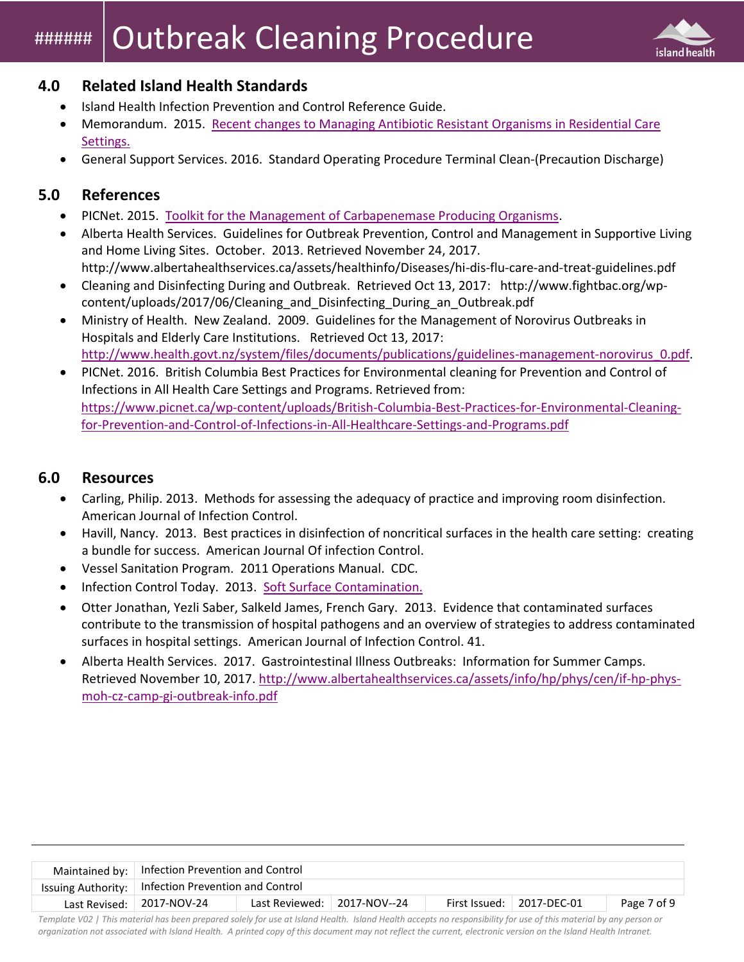# **Outbreak Cleaning Procedure**



#### **4.0 Related Island Health Standards**

- Island Health Infection Prevention and Control Reference Guide.
- Memorandum. 2015. [Recent changes to Managing Antibiotic Resistant Organisms in Residential Care](https://intranet.viha.ca/departments/infection_prevention/Documents/ARO%20Admission/Jan192015RecentChangesToManagingARO.pdf)  [Settings.](https://intranet.viha.ca/departments/infection_prevention/Documents/ARO%20Admission/Jan192015RecentChangesToManagingARO.pdf)
- General Support Services. 2016. Standard Operating Procedure Terminal Clean-(Precaution Discharge)

#### **5.0 References**

- PICNet. 2015. [Toolkit for the Management of Carbapenemase Producing Organisms.](https://www.picnet.ca/wp-content/uploads/PICNet-CPO-Toolkit-2015.pdf)
- Alberta Health Services. Guidelines for Outbreak Prevention, Control and Management in Supportive Living and Home Living Sites. October. 2013. Retrieved November 24, 2017. http://www.albertahealthservices.ca/assets/healthinfo/Diseases/hi-dis-flu-care-and-treat-guidelines.pdf
- Cleaning and Disinfecting During and Outbreak. Retrieved Oct 13, 2017: [http://www.fightbac.org/wp](http://www.fightbac.org/wp-content/uploads/2017/06/Cleaning_and_Disinfecting_During_an_Outbreak.pdf)[content/uploads/2017/06/Cleaning\\_and\\_Disinfecting\\_During\\_an\\_Outbreak.pdf](http://www.fightbac.org/wp-content/uploads/2017/06/Cleaning_and_Disinfecting_During_an_Outbreak.pdf)
- Ministry of Health. New Zealand. 2009. Guidelines for the Management of Norovirus Outbreaks in Hospitals and Elderly Care Institutions. Retrieved Oct 13, 2017: [http://www.health.govt.nz/system/files/documents/publications/guidelines-management-norovirus\\_0.pdf.](http://www.health.govt.nz/system/files/documents/publications/guidelines-management-norovirus_0.pdf)
- PICNet. 2016. British Columbia Best Practices for Environmental cleaning for Prevention and Control of Infections in All Health Care Settings and Programs. Retrieved from: [https://www.picnet.ca/wp-content/uploads/British-Columbia-Best-Practices-for-Environmental-Cleaning](https://www.picnet.ca/wp-content/uploads/British-Columbia-Best-Practices-for-Environmental-Cleaning-for-Prevention-and-Control-of-Infections-in-All-Healthcare-Settings-and-Programs.pdf)[for-Prevention-and-Control-of-Infections-in-All-Healthcare-Settings-and-Programs.pdf](https://www.picnet.ca/wp-content/uploads/British-Columbia-Best-Practices-for-Environmental-Cleaning-for-Prevention-and-Control-of-Infections-in-All-Healthcare-Settings-and-Programs.pdf)

#### **6.0 Resources**

- Carling, Philip. 2013. Methods for assessing the adequacy of practice and improving room disinfection. American Journal of Infection Control.
- Havill, Nancy. 2013. Best practices in disinfection of noncritical surfaces in the health care setting: creating a bundle for success. American Journal Of infection Control.
- Vessel Sanitation Program. 2011 Operations Manual. CDC.
- Infection Control Today. 2013. [Soft Surface Contamination.](http://www.infectioncontroltoday.com/~/media/Files/Medical/Ebooks/2013/08/08-13ICT-antimicrobial-textiles-secure.pdf)
- Otter Jonathan, Yezli Saber, Salkeld James, French Gary. 2013. Evidence that contaminated surfaces contribute to the transmission of hospital pathogens and an overview of strategies to address contaminated surfaces in hospital settings. American Journal of Infection Control. 41.
- Alberta Health Services. 2017. Gastrointestinal Illness Outbreaks: Information for Summer Camps. Retrieved November 10, 2017. [http://www.albertahealthservices.ca/assets/info/hp/phys/cen/if-hp-phys](http://www.albertahealthservices.ca/assets/info/hp/phys/cen/if-hp-phys-moh-cz-camp-gi-outbreak-info.pdf)[moh-cz-camp-gi-outbreak-info.pdf](http://www.albertahealthservices.ca/assets/info/hp/phys/cen/if-hp-phys-moh-cz-camp-gi-outbreak-info.pdf)

|                           | Maintained by:   Infection Prevention and Control                               |                                                       |  |  |  |  |  |
|---------------------------|---------------------------------------------------------------------------------|-------------------------------------------------------|--|--|--|--|--|
|                           |                                                                                 | Issuing Authority:   Infection Prevention and Control |  |  |  |  |  |
| Last Revised: 2017-NOV-24 | Last Reviewed: 2017-NOV--24<br>First Issued: $\vert$ 2017-DEC-01<br>Page 7 of 9 |                                                       |  |  |  |  |  |
|                           |                                                                                 |                                                       |  |  |  |  |  |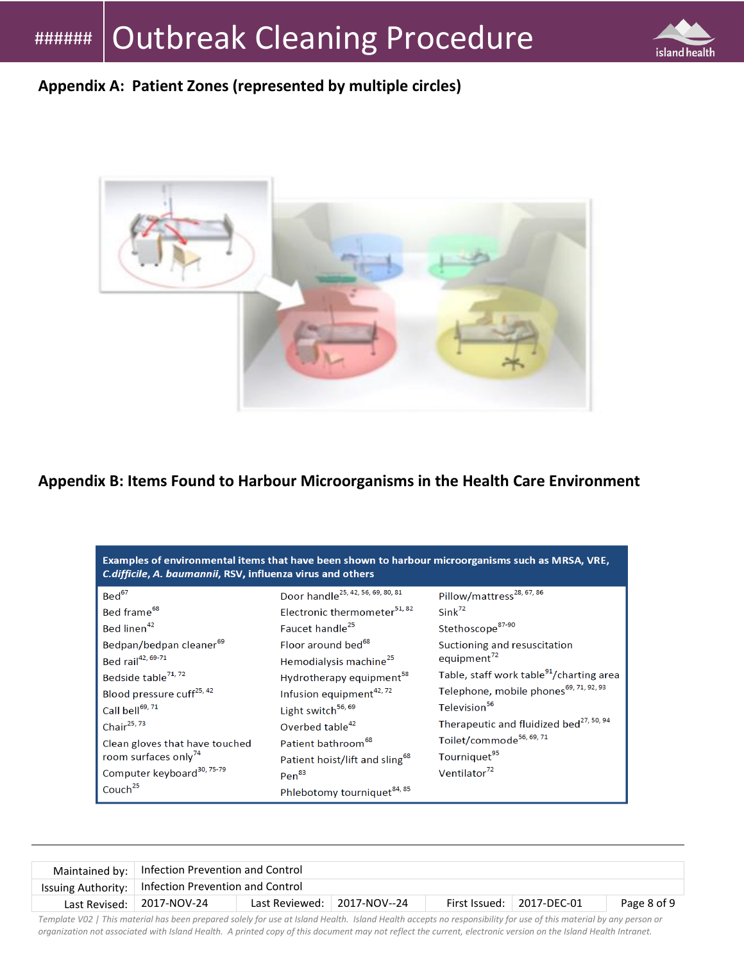

## **Appendix A: Patient Zones (represented by multiple circles)**



**Appendix B: Items Found to Harbour Microorganisms in the Health Care Environment**

| Examples of environmental items that have been shown to harbour microorganisms such as MRSA, VRE,<br>C.difficile, A. baumannii, RSV, influenza virus and others                                                                                                                                                                                                                                                       |                                                                                                                                                                                                                                                                                                                                                                                                                                                                                                   |                                                                                                                                                                                                                                                                                                                                                                                                                                            |  |  |  |  |  |  |
|-----------------------------------------------------------------------------------------------------------------------------------------------------------------------------------------------------------------------------------------------------------------------------------------------------------------------------------------------------------------------------------------------------------------------|---------------------------------------------------------------------------------------------------------------------------------------------------------------------------------------------------------------------------------------------------------------------------------------------------------------------------------------------------------------------------------------------------------------------------------------------------------------------------------------------------|--------------------------------------------------------------------------------------------------------------------------------------------------------------------------------------------------------------------------------------------------------------------------------------------------------------------------------------------------------------------------------------------------------------------------------------------|--|--|--|--|--|--|
| Bed <sup>67</sup><br>Bed frame <sup>68</sup><br>Bed linen <sup>42</sup><br>Bedpan/bedpan cleaner <sup>69</sup><br>Bed rail <sup>42, 69-71</sup><br>Bedside table <sup>71, 72</sup><br>Blood pressure cuff <sup>25, 42</sup><br>Call bell <sup>69, 71</sup><br>Chair $^{25,73}$<br>Clean gloves that have touched<br>room surfaces only <sup>74</sup><br>Computer keyboard <sup>30, 75-79</sup><br>Couch <sup>25</sup> | Door handle <sup>25, 42, 56, 69, 80, 81</sup><br>Electronic thermometer <sup>51, 82</sup><br>Faucet handle <sup>25</sup><br>Floor around bed <sup>68</sup><br>Hemodialysis machine <sup>25</sup><br>Hydrotherapy equipment <sup>58</sup><br>Infusion equipment <sup>42, 72</sup><br>Light switch <sup>56, 69</sup><br>Overbed table <sup>42</sup><br>Patient bathroom <sup>68</sup><br>Patient hoist/lift and sling <sup>68</sup><br>Pen <sup>83</sup><br>Phlebotomy tourniquet <sup>84, 85</sup> | Pillow/mattress <sup>28, 67, 86</sup><br>$Sink^{72}$<br>Stethoscope <sup>87-90</sup><br>Suctioning and resuscitation<br>equipment $^{72}$<br>Table, staff work table <sup>91</sup> /charting area<br>Telephone, mobile phones <sup>69, 71, 92, 93</sup><br>Television <sup>56</sup><br>Therapeutic and fluidized bed <sup>27, 50, 94</sup><br>Toilet/commode <sup>56, 69, 71</sup><br>Tourniquet <sup>95</sup><br>Ventilator <sup>72</sup> |  |  |  |  |  |  |

|                                                                                                                                                                                                                                | Maintained by:   Infection Prevention and Control                         |  |  |  |  |  |  |
|--------------------------------------------------------------------------------------------------------------------------------------------------------------------------------------------------------------------------------|---------------------------------------------------------------------------|--|--|--|--|--|--|
|                                                                                                                                                                                                                                | Issuing Authority:   Infection Prevention and Control                     |  |  |  |  |  |  |
| Last Revised: 2017-NOV-24                                                                                                                                                                                                      | Last Reviewed: 2017-NOV--24<br>First Issued:   2017-DEC-01<br>Page 8 of 9 |  |  |  |  |  |  |
| Tanalata 1709. I This material has here are accounted a labeled and the library thanks have been consecuted in the second library and consequences are a second as a second second and second and selling the second second se |                                                                           |  |  |  |  |  |  |